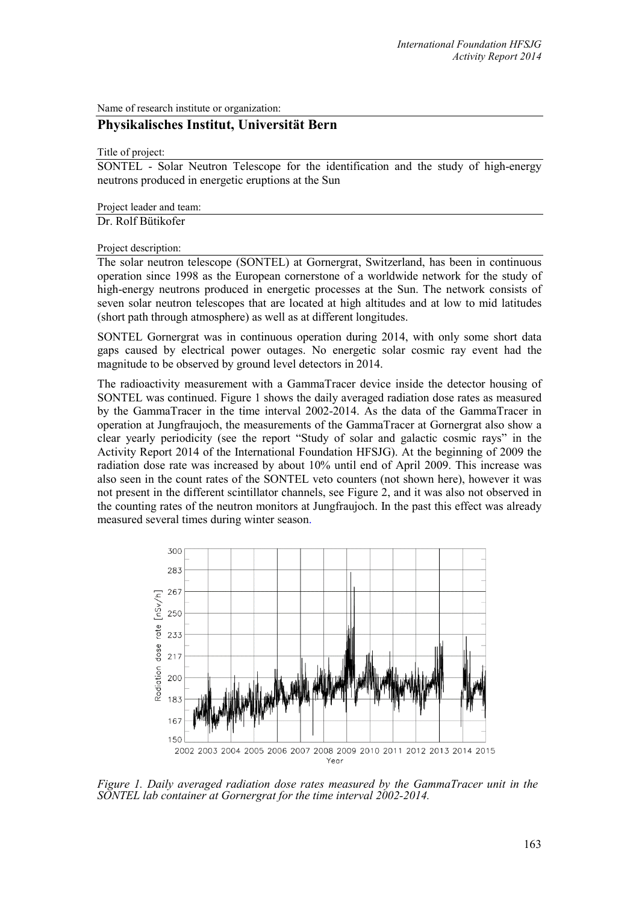Name of research institute or organization:

## **Physikalisches Institut, Universität Bern**

Title of project:

SONTEL - Solar Neutron Telescope for the identification and the study of high-energy neutrons produced in energetic eruptions at the Sun

Project leader and team:

Dr. Rolf Bütikofer

Project description:

The solar neutron telescope (SONTEL) at Gornergrat, Switzerland, has been in continuous operation since 1998 as the European cornerstone of a worldwide network for the study of high-energy neutrons produced in energetic processes at the Sun. The network consists of seven solar neutron telescopes that are located at high altitudes and at low to mid latitudes (short path through atmosphere) as well as at different longitudes.

SONTEL Gornergrat was in continuous operation during 2014, with only some short data gaps caused by electrical power outages. No energetic solar cosmic ray event had the magnitude to be observed by ground level detectors in 2014.

The radioactivity measurement with a GammaTracer device inside the detector housing of SONTEL was continued. Figure 1 shows the daily averaged radiation dose rates as measured by the GammaTracer in the time interval 2002-2014. As the data of the GammaTracer in operation at Jungfraujoch, the measurements of the GammaTracer at Gornergrat also show a clear yearly periodicity (see the report "Study of solar and galactic cosmic rays" in the Activity Report 2014 of the International Foundation HFSJG). At the beginning of 2009 the radiation dose rate was increased by about 10% until end of April 2009. This increase was also seen in the count rates of the SONTEL veto counters (not shown here), however it was not present in the different scintillator channels, see Figure 2, and it was also not observed in the counting rates of the neutron monitors at Jungfraujoch. In the past this effect was already measured several times during winter season.



*Figure 1. Daily averaged radiation dose rates measured by the GammaTracer unit in the SONTEL lab container at Gornergrat for the time interval 2002-2014.*